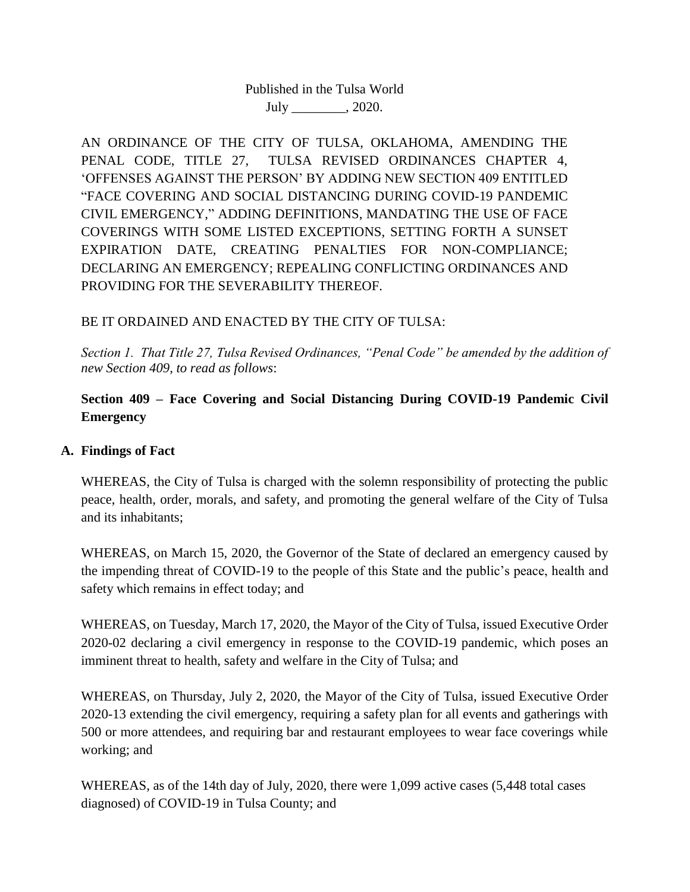# Published in the Tulsa World July \_\_\_\_\_\_\_\_, 2020.

AN ORDINANCE OF THE CITY OF TULSA, OKLAHOMA, AMENDING THE PENAL CODE, TITLE 27, TULSA REVISED ORDINANCES CHAPTER 4, 'OFFENSES AGAINST THE PERSON' BY ADDING NEW SECTION 409 ENTITLED "FACE COVERING AND SOCIAL DISTANCING DURING COVID-19 PANDEMIC CIVIL EMERGENCY," ADDING DEFINITIONS, MANDATING THE USE OF FACE COVERINGS WITH SOME LISTED EXCEPTIONS, SETTING FORTH A SUNSET EXPIRATION DATE, CREATING PENALTIES FOR NON-COMPLIANCE; DECLARING AN EMERGENCY; REPEALING CONFLICTING ORDINANCES AND PROVIDING FOR THE SEVERABILITY THEREOF.

## BE IT ORDAINED AND ENACTED BY THE CITY OF TULSA:

*Section 1. That Title 27, Tulsa Revised Ordinances, "Penal Code" be amended by the addition of new Section 409, to read as follows*:

# **Section 409 – Face Covering and Social Distancing During COVID-19 Pandemic Civil Emergency**

### **A. Findings of Fact**

WHEREAS, the City of Tulsa is charged with the solemn responsibility of protecting the public peace, health, order, morals, and safety, and promoting the general welfare of the City of Tulsa and its inhabitants;

WHEREAS, on March 15, 2020, the Governor of the State of declared an emergency caused by the impending threat of COVID-19 to the people of this State and the public's peace, health and safety which remains in effect today; and

WHEREAS, on Tuesday, March 17, 2020, the Mayor of the City of Tulsa, issued Executive Order 2020-02 declaring a civil emergency in response to the COVID-19 pandemic, which poses an imminent threat to health, safety and welfare in the City of Tulsa; and

WHEREAS, on Thursday, July 2, 2020, the Mayor of the City of Tulsa, issued Executive Order 2020-13 extending the civil emergency, requiring a safety plan for all events and gatherings with 500 or more attendees, and requiring bar and restaurant employees to wear face coverings while working; and

WHEREAS, as of the 14th day of July, 2020, there were 1,099 active cases (5,448 total cases diagnosed) of COVID-19 in Tulsa County; and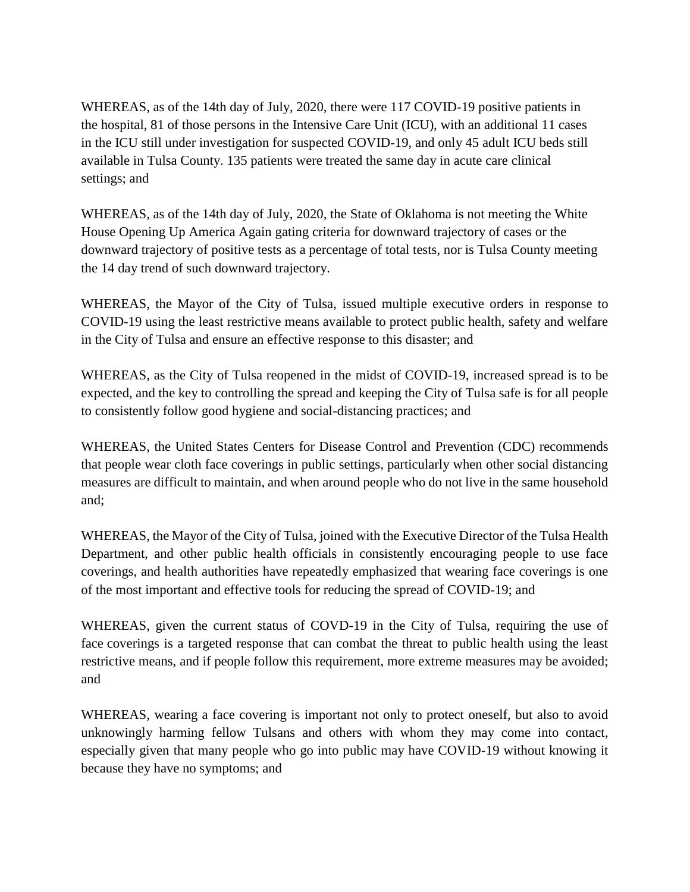WHEREAS, as of the 14th day of July, 2020, there were 117 COVID-19 positive patients in the hospital, 81 of those persons in the Intensive Care Unit (ICU), with an additional 11 cases in the ICU still under investigation for suspected COVID-19, and only 45 adult ICU beds still available in Tulsa County. 135 patients were treated the same day in acute care clinical settings; and

WHEREAS, as of the 14th day of July, 2020, the State of Oklahoma is not meeting the White House Opening Up America Again gating criteria for downward trajectory of cases or the downward trajectory of positive tests as a percentage of total tests, nor is Tulsa County meeting the 14 day trend of such downward trajectory.

WHEREAS, the Mayor of the City of Tulsa, issued multiple executive orders in response to COVID-19 using the least restrictive means available to protect public health, safety and welfare in the City of Tulsa and ensure an effective response to this disaster; and

WHEREAS, as the City of Tulsa reopened in the midst of COVID-19, increased spread is to be expected, and the key to controlling the spread and keeping the City of Tulsa safe is for all people to consistently follow good hygiene and social-distancing practices; and

WHEREAS, the United States Centers for Disease Control and Prevention (CDC) recommends that people wear cloth face coverings in public settings, particularly when other social distancing measures are difficult to maintain, and when around people who do not live in the same household and;

WHEREAS, the Mayor of the City of Tulsa, joined with the Executive Director of the Tulsa Health Department, and other public health officials in consistently encouraging people to use face coverings, and health authorities have repeatedly emphasized that wearing face coverings is one of the most important and effective tools for reducing the spread of COVID-19; and

WHEREAS, given the current status of COVD-19 in the City of Tulsa, requiring the use of face coverings is a targeted response that can combat the threat to public health using the least restrictive means, and if people follow this requirement, more extreme measures may be avoided; and

WHEREAS, wearing a face covering is important not only to protect oneself, but also to avoid unknowingly harming fellow Tulsans and others with whom they may come into contact, especially given that many people who go into public may have COVID-19 without knowing it because they have no symptoms; and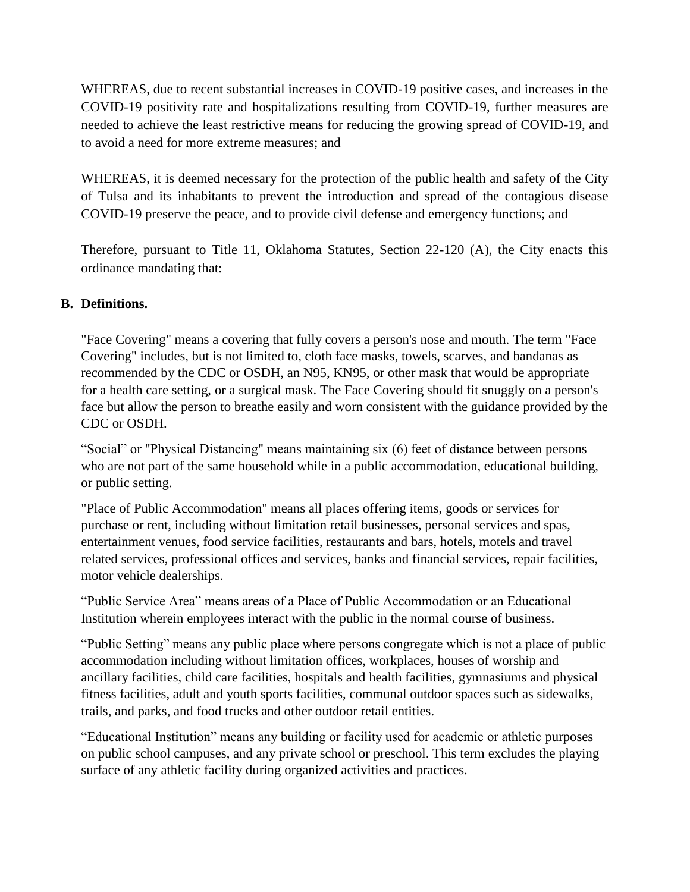WHEREAS, due to recent substantial increases in COVID-19 positive cases, and increases in the COVID-19 positivity rate and hospitalizations resulting from COVID-19, further measures are needed to achieve the least restrictive means for reducing the growing spread of COVID-19, and to avoid a need for more extreme measures; and

WHEREAS, it is deemed necessary for the protection of the public health and safety of the City of Tulsa and its inhabitants to prevent the introduction and spread of the contagious disease COVID-19 preserve the peace, and to provide civil defense and emergency functions; and

Therefore, pursuant to Title 11, Oklahoma Statutes, Section 22-120 (A), the City enacts this ordinance mandating that:

# **B. Definitions.**

"Face Covering" means a covering that fully covers a person's nose and mouth. The term "Face Covering" includes, but is not limited to, cloth face masks, towels, scarves, and bandanas as recommended by the CDC or OSDH, an N95, KN95, or other mask that would be appropriate for a health care setting, or a surgical mask. The Face Covering should fit snuggly on a person's face but allow the person to breathe easily and worn consistent with the guidance provided by the CDC or OSDH.

"Social" or "Physical Distancing" means maintaining six (6) feet of distance between persons who are not part of the same household while in a public accommodation, educational building, or public setting.

"Place of Public Accommodation" means all places offering items, goods or services for purchase or rent, including without limitation retail businesses, personal services and spas, entertainment venues, food service facilities, restaurants and bars, hotels, motels and travel related services, professional offices and services, banks and financial services, repair facilities, motor vehicle dealerships.

"Public Service Area" means areas of a Place of Public Accommodation or an Educational Institution wherein employees interact with the public in the normal course of business.

"Public Setting" means any public place where persons congregate which is not a place of public accommodation including without limitation offices, workplaces, houses of worship and ancillary facilities, child care facilities, hospitals and health facilities, gymnasiums and physical fitness facilities, adult and youth sports facilities, communal outdoor spaces such as sidewalks, trails, and parks, and food trucks and other outdoor retail entities.

"Educational Institution" means any building or facility used for academic or athletic purposes on public school campuses, and any private school or preschool. This term excludes the playing surface of any athletic facility during organized activities and practices.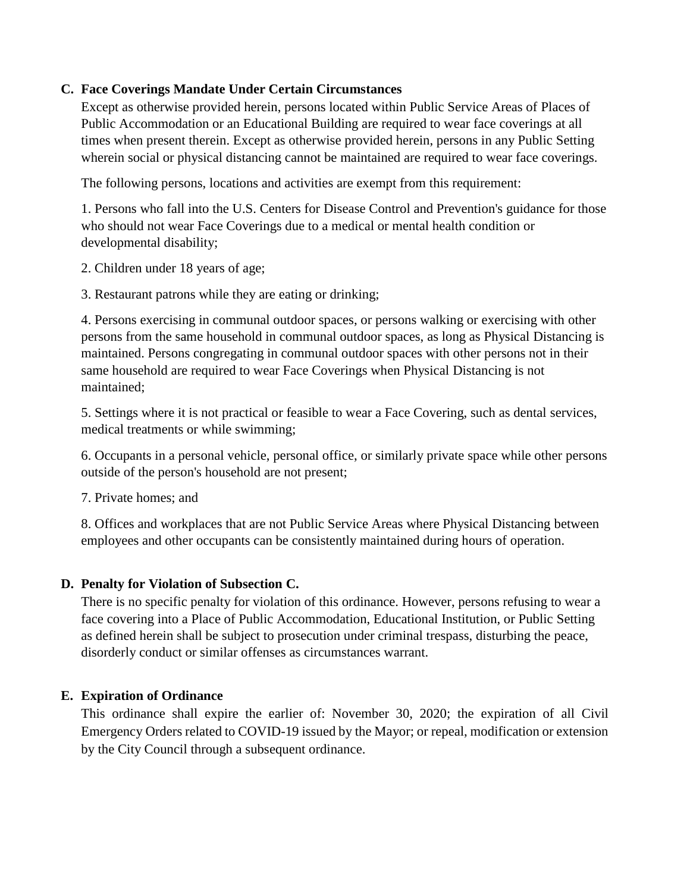## **C. Face Coverings Mandate Under Certain Circumstances**

Except as otherwise provided herein, persons located within Public Service Areas of Places of Public Accommodation or an Educational Building are required to wear face coverings at all times when present therein. Except as otherwise provided herein, persons in any Public Setting wherein social or physical distancing cannot be maintained are required to wear face coverings.

The following persons, locations and activities are exempt from this requirement:

1. Persons who fall into the U.S. Centers for Disease Control and Prevention's guidance for those who should not wear Face Coverings due to a medical or mental health condition or developmental disability;

2. Children under 18 years of age;

3. Restaurant patrons while they are eating or drinking;

4. Persons exercising in communal outdoor spaces, or persons walking or exercising with other persons from the same household in communal outdoor spaces, as long as Physical Distancing is maintained. Persons congregating in communal outdoor spaces with other persons not in their same household are required to wear Face Coverings when Physical Distancing is not maintained;

5. Settings where it is not practical or feasible to wear a Face Covering, such as dental services, medical treatments or while swimming;

6. Occupants in a personal vehicle, personal office, or similarly private space while other persons outside of the person's household are not present;

7. Private homes; and

8. Offices and workplaces that are not Public Service Areas where Physical Distancing between employees and other occupants can be consistently maintained during hours of operation.

#### **D. Penalty for Violation of Subsection C.**

There is no specific penalty for violation of this ordinance. However, persons refusing to wear a face covering into a Place of Public Accommodation, Educational Institution, or Public Setting as defined herein shall be subject to prosecution under criminal trespass, disturbing the peace, disorderly conduct or similar offenses as circumstances warrant.

### **E. Expiration of Ordinance**

This ordinance shall expire the earlier of: November 30, 2020; the expiration of all Civil Emergency Orders related to COVID-19 issued by the Mayor; or repeal, modification or extension by the City Council through a subsequent ordinance.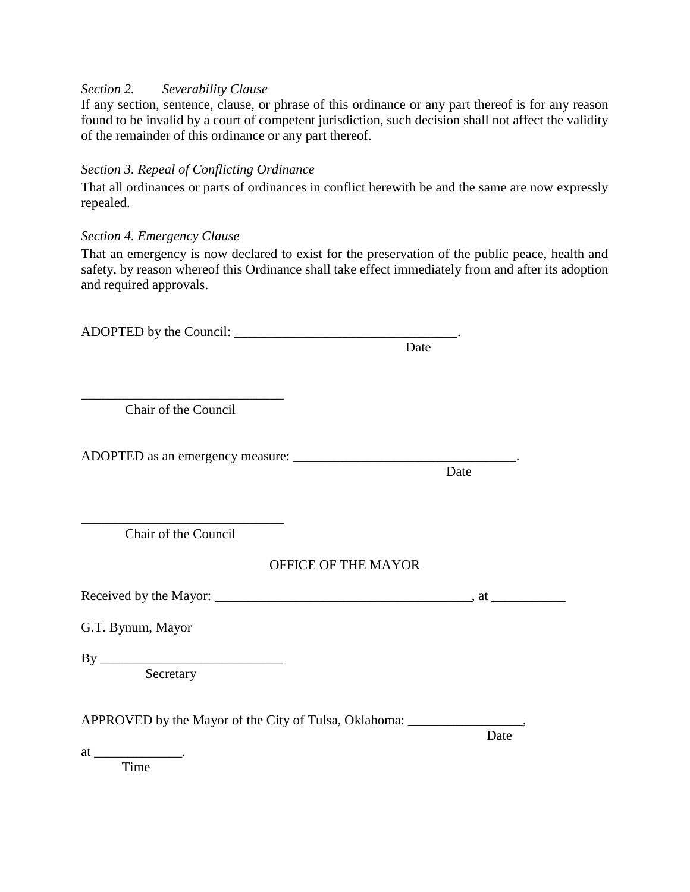#### *Section 2. Severability Clause*

If any section, sentence, clause, or phrase of this ordinance or any part thereof is for any reason found to be invalid by a court of competent jurisdiction, such decision shall not affect the validity of the remainder of this ordinance or any part thereof.

### *Section 3. Repeal of Conflicting Ordinance*

That all ordinances or parts of ordinances in conflict herewith be and the same are now expressly repealed.

### *Section 4. Emergency Clause*

That an emergency is now declared to exist for the preservation of the public peace, health and safety, by reason whereof this Ordinance shall take effect immediately from and after its adoption and required approvals.

|                                                                                   | Date |
|-----------------------------------------------------------------------------------|------|
|                                                                                   |      |
| Chair of the Council                                                              |      |
|                                                                                   |      |
|                                                                                   | Date |
|                                                                                   |      |
| Chair of the Council                                                              |      |
| OFFICE OF THE MAYOR                                                               |      |
|                                                                                   |      |
| G.T. Bynum, Mayor                                                                 |      |
| Secretary                                                                         |      |
| APPROVED by the Mayor of the City of Tulsa, Oklahoma: ___________________________ |      |
|                                                                                   | Date |
| Time                                                                              |      |